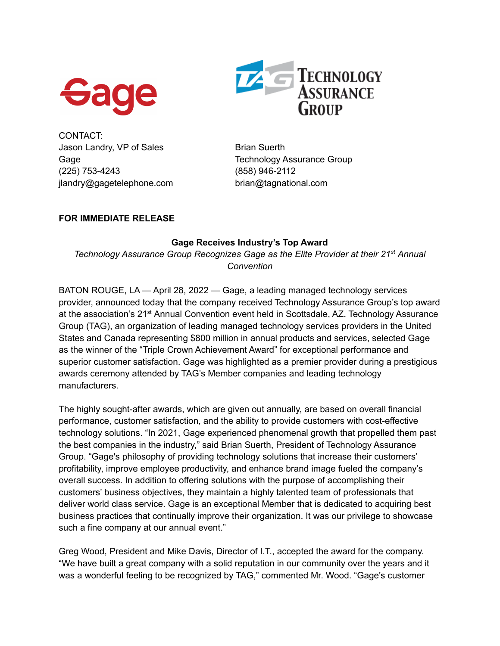



CONTACT: Jason Landry, VP of Sales Brian Suerth (225) 753-4243 (858) 946-2112 jlandry@gagetelephone.com brian@tagnational.com

Gage Gage Technology Assurance Group

## **FOR IMMEDIATE RELEASE**

## **Gage Receives Industry's Top Award**

*Technology Assurance Group Recognizes Gage as the Elite Provider at their 21 st Annual Convention*

BATON ROUGE, LA — April 28, 2022 — Gage, a leading managed technology services provider, announced today that the company received Technology Assurance Group's top award at the association's 21<sup>st</sup> Annual Convention event held in Scottsdale, AZ. Technology Assurance Group (TAG), an organization of leading managed technology services providers in the United States and Canada representing \$800 million in annual products and services, selected Gage as the winner of the "Triple Crown Achievement Award" for exceptional performance and superior customer satisfaction. Gage was highlighted as a premier provider during a prestigious awards ceremony attended by TAG's Member companies and leading technology manufacturers.

The highly sought-after awards, which are given out annually, are based on overall financial performance, customer satisfaction, and the ability to provide customers with cost-effective technology solutions. "In 2021, Gage experienced phenomenal growth that propelled them past the best companies in the industry," said Brian Suerth, President of Technology Assurance Group. "Gage's philosophy of providing technology solutions that increase their customers' profitability, improve employee productivity, and enhance brand image fueled the company's overall success. In addition to offering solutions with the purpose of accomplishing their customers' business objectives, they maintain a highly talented team of professionals that deliver world class service. Gage is an exceptional Member that is dedicated to acquiring best business practices that continually improve their organization. It was our privilege to showcase such a fine company at our annual event."

Greg Wood, President and Mike Davis, Director of I.T., accepted the award for the company. "We have built a great company with a solid reputation in our community over the years and it was a wonderful feeling to be recognized by TAG," commented Mr. Wood. "Gage's customer